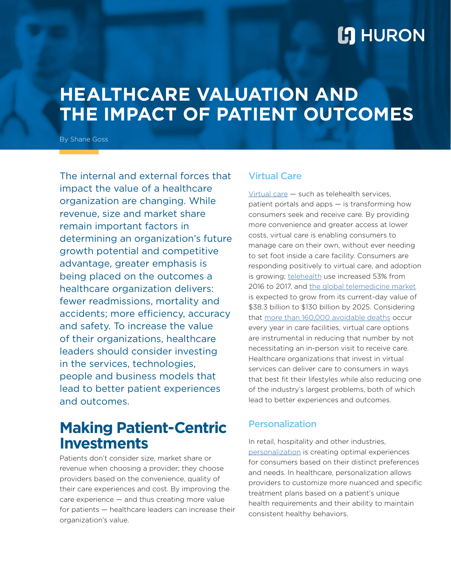# **L'I** HURON

# **HEALTHCARE VALUATION AND THE IMPACT OF PATIENT OUTCOMES**

By Shane Goss

The internal and external forces that impact the value of a healthcare organization are changing. While revenue, size and market share remain important factors in determining an organization's future growth potential and competitive advantage, greater emphasis is being placed on the outcomes a healthcare organization delivers: fewer readmissions, mortality and accidents; more efficiency, accuracy and safety. To increase the value of their organizations, healthcare leaders should consider investing in the services, technologies, people and business models that lead to better patient experiences and outcomes.

## **Making Patient-Centric Investments**

Patients don't consider size, market share or revenue when choosing a provider; they choose providers based on the convenience, quality of their care experiences and cost. By improving the care experience — and thus creating more value for patients — healthcare leaders can increase their organization's value.

### Virtual Care

[Virtual care](http://www.huronconsultinggroup.com/resources/healthcare/virtual-care-component-of-care-delivery) — such as telehealth services, patient portals and apps — is transforming how consumers seek and receive care. By providing more convenience and greater access at lower costs, virtual care is enabling consumers to manage care on their own, without ever needing to set foot inside a care facility. Consumers are responding positively to virtual care, and adoption is growing; [telehealth](http://www.modernhealthcare.com/care-delivery/telehealth-use-surged-2017) use increased 53% from 2016 to 2017, and [the global telemedicine market](http://www.mobihealthnews.com/content/report-global-telemedicine-market-will-hit-130b-2025) is expected to grow from its current-day value of \$38.3 billion to \$130 billion by 2025. Considering that [more than 160,000 avoidable deaths](http://www.modernhealthcare.com/safety-quality/161000-avoidable-deaths-occur-hospitals-annually-leapfrog-group-finds) occur every year in care facilities, virtual care options are instrumental in reducing that number by not necessitating an in-person visit to receive care. Healthcare organizations that invest in virtual services can deliver care to consumers in ways that best fit their lifestyles while also reducing one of the industry's largest problems, both of which lead to better experiences and outcomes.

### Personalization

In retail, hospitality and other industries, [personalization](http://www.huronconsultinggroup.com/resources/healthcare/care-transformation-balancing-standardization-personalization) is creating optimal experiences for consumers based on their distinct preferences and needs. In healthcare, personalization allows providers to customize more nuanced and specific treatment plans based on a patient's unique health requirements and their ability to maintain consistent healthy behaviors.